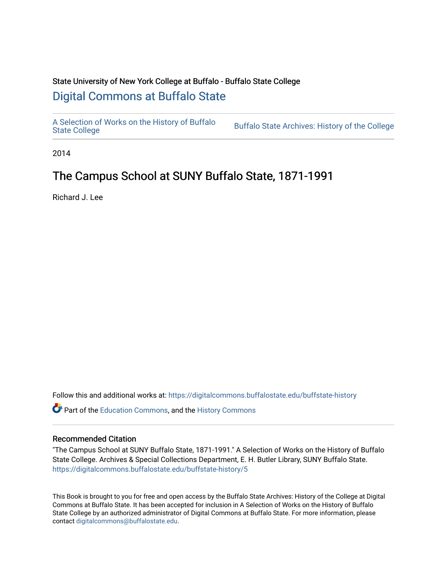# State University of New York College at Buffalo - Buffalo State College [Digital Commons at Buffalo State](https://digitalcommons.buffalostate.edu/)

[A Selection of Works on the History of Buffalo](https://digitalcommons.buffalostate.edu/buffstate-history)

Buffalo State Archives: History of the College

2014

# The Campus School at SUNY Buffalo State, 1871-1991

Richard J. Lee

Follow this and additional works at: [https://digitalcommons.buffalostate.edu/buffstate-history](https://digitalcommons.buffalostate.edu/buffstate-history?utm_source=digitalcommons.buffalostate.edu%2Fbuffstate-history%2F5&utm_medium=PDF&utm_campaign=PDFCoverPages) 

Part of the [Education Commons](https://network.bepress.com/hgg/discipline/784?utm_source=digitalcommons.buffalostate.edu%2Fbuffstate-history%2F5&utm_medium=PDF&utm_campaign=PDFCoverPages), and the [History Commons](https://network.bepress.com/hgg/discipline/489?utm_source=digitalcommons.buffalostate.edu%2Fbuffstate-history%2F5&utm_medium=PDF&utm_campaign=PDFCoverPages) 

#### Recommended Citation

"The Campus School at SUNY Buffalo State, 1871-1991." A Selection of Works on the History of Buffalo State College. Archives & Special Collections Department, E. H. Butler Library, SUNY Buffalo State. [https://digitalcommons.buffalostate.edu/buffstate-history/5](https://digitalcommons.buffalostate.edu/buffstate-history/5?utm_source=digitalcommons.buffalostate.edu%2Fbuffstate-history%2F5&utm_medium=PDF&utm_campaign=PDFCoverPages) 

This Book is brought to you for free and open access by the Buffalo State Archives: History of the College at Digital Commons at Buffalo State. It has been accepted for inclusion in A Selection of Works on the History of Buffalo State College by an authorized administrator of Digital Commons at Buffalo State. For more information, please contact [digitalcommons@buffalostate.edu](mailto:digitalcommons@buffalostate.edu).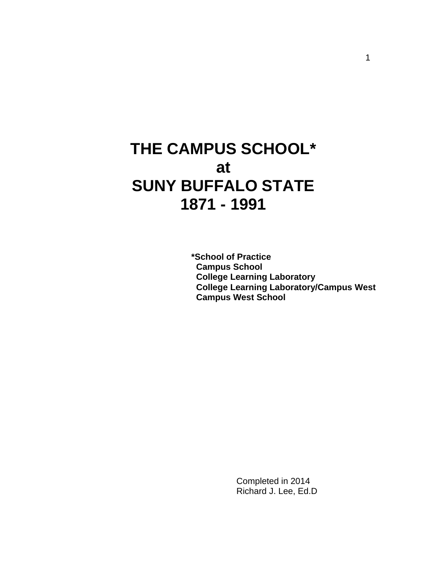# **THE CAMPUS SCHOOL\* at SUNY BUFFALO STATE 1871 - 1991**

 **\*School of Practice Campus School College Learning Laboratory College Learning Laboratory/Campus West Campus West School**

> Completed in 2014 Richard J. Lee, Ed.D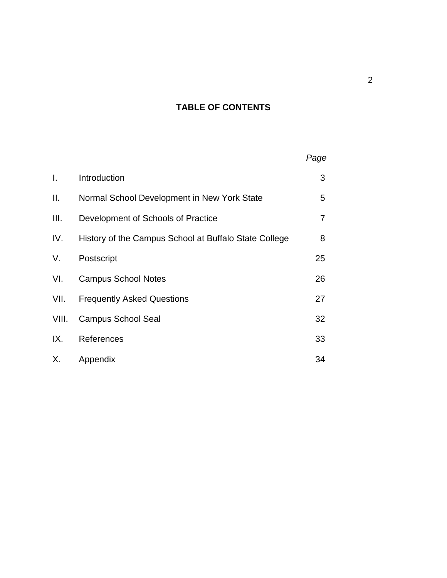# **TABLE OF CONTENTS**

| Τ.    | Introduction                                          | 3  |
|-------|-------------------------------------------------------|----|
| Ш.    | Normal School Development in New York State           | 5  |
| III.  | Development of Schools of Practice                    | 7  |
| IV.   | History of the Campus School at Buffalo State College | 8  |
| V.    | Postscript                                            | 25 |
| VI.   | <b>Campus School Notes</b>                            | 26 |
| VII.  | <b>Frequently Asked Questions</b>                     | 27 |
| VIII. | <b>Campus School Seal</b>                             | 32 |
| IX.   | References                                            | 33 |
| Х.    | Appendix                                              | 34 |

*Page*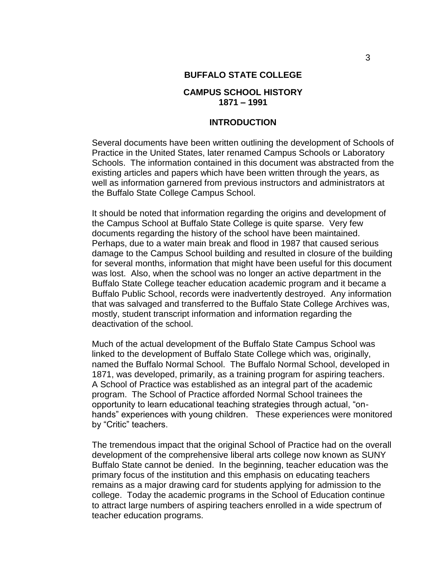#### **BUFFALO STATE COLLEGE**

## **CAMPUS SCHOOL HISTORY 1871 – 1991**

#### **INTRODUCTION**

Several documents have been written outlining the development of Schools of Practice in the United States, later renamed Campus Schools or Laboratory Schools. The information contained in this document was abstracted from the existing articles and papers which have been written through the years, as well as information garnered from previous instructors and administrators at the Buffalo State College Campus School.

It should be noted that information regarding the origins and development of the Campus School at Buffalo State College is quite sparse. Very few documents regarding the history of the school have been maintained. Perhaps, due to a water main break and flood in 1987 that caused serious damage to the Campus School building and resulted in closure of the building for several months, information that might have been useful for this document was lost. Also, when the school was no longer an active department in the Buffalo State College teacher education academic program and it became a Buffalo Public School, records were inadvertently destroyed. Any information that was salvaged and transferred to the Buffalo State College Archives was, mostly, student transcript information and information regarding the deactivation of the school.

Much of the actual development of the Buffalo State Campus School was linked to the development of Buffalo State College which was, originally, named the Buffalo Normal School. The Buffalo Normal School, developed in 1871, was developed, primarily, as a training program for aspiring teachers. A School of Practice was established as an integral part of the academic program. The School of Practice afforded Normal School trainees the opportunity to learn educational teaching strategies through actual, "onhands" experiences with young children. These experiences were monitored by "Critic" teachers.

The tremendous impact that the original School of Practice had on the overall development of the comprehensive liberal arts college now known as SUNY Buffalo State cannot be denied. In the beginning, teacher education was the primary focus of the institution and this emphasis on educating teachers remains as a major drawing card for students applying for admission to the college. Today the academic programs in the School of Education continue to attract large numbers of aspiring teachers enrolled in a wide spectrum of teacher education programs.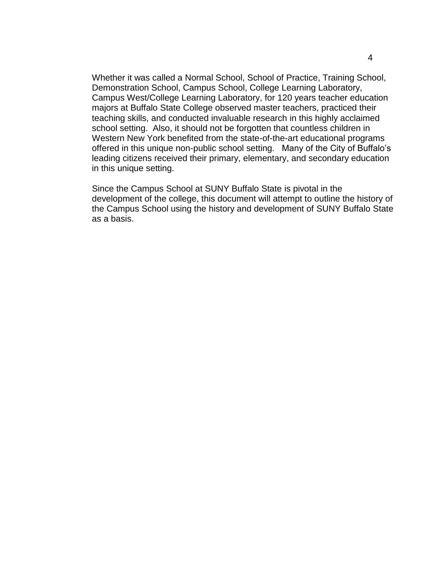Whether it was called a Normal School, School of Practice, Training School, Demonstration School, Campus School, College Learning Laboratory, Campus West/College Learning Laboratory, for 120 years teacher education majors at Buffalo State College observed master teachers, practiced their teaching skills, and conducted invaluable research in this highly acclaimed school setting. Also, it should not be forgotten that countless children in Western New York benefited from the state-of-the-art educational programs offered in this unique non-public school setting. Many of the City of Buffalo's leading citizens received their primary, elementary, and secondary education in this unique setting.

Since the Campus School at SUNY Buffalo State is pivotal in the development of the college, this document will attempt to outline the history of the Campus School using the history and development of SUNY Buffalo State as a basis.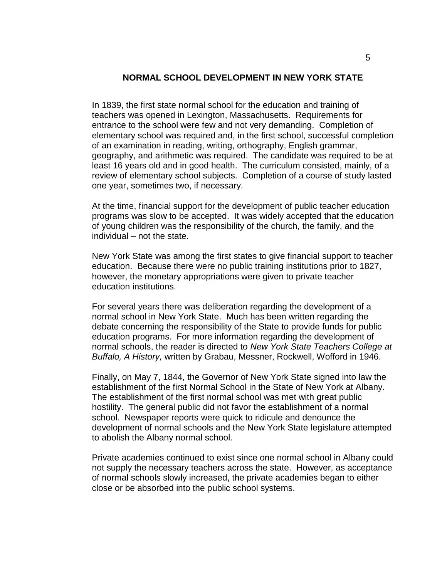#### **NORMAL SCHOOL DEVELOPMENT IN NEW YORK STATE**

In 1839, the first state normal school for the education and training of teachers was opened in Lexington, Massachusetts. Requirements for entrance to the school were few and not very demanding. Completion of elementary school was required and, in the first school, successful completion of an examination in reading, writing, orthography, English grammar, geography, and arithmetic was required. The candidate was required to be at least 16 years old and in good health. The curriculum consisted, mainly, of a review of elementary school subjects. Completion of a course of study lasted one year, sometimes two, if necessary.

At the time, financial support for the development of public teacher education programs was slow to be accepted. It was widely accepted that the education of young children was the responsibility of the church, the family, and the individual – not the state.

New York State was among the first states to give financial support to teacher education. Because there were no public training institutions prior to 1827, however, the monetary appropriations were given to private teacher education institutions.

For several years there was deliberation regarding the development of a normal school in New York State. Much has been written regarding the debate concerning the responsibility of the State to provide funds for public education programs. For more information regarding the development of normal schools, the reader is directed to *New York State Teachers College at Buffalo, A History,* written by Grabau, Messner, Rockwell, Wofford in 1946.

Finally, on May 7, 1844, the Governor of New York State signed into law the establishment of the first Normal School in the State of New York at Albany. The establishment of the first normal school was met with great public hostility. The general public did not favor the establishment of a normal school. Newspaper reports were quick to ridicule and denounce the development of normal schools and the New York State legislature attempted to abolish the Albany normal school.

Private academies continued to exist since one normal school in Albany could not supply the necessary teachers across the state. However, as acceptance of normal schools slowly increased, the private academies began to either close or be absorbed into the public school systems.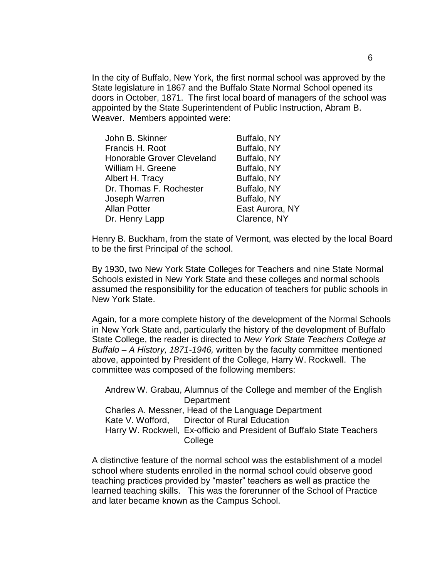In the city of Buffalo, New York, the first normal school was approved by the State legislature in 1867 and the Buffalo State Normal School opened its doors in October, 1871. The first local board of managers of the school was appointed by the State Superintendent of Public Instruction, Abram B. Weaver. Members appointed were:

| John B. Skinner            | Buffalo, NY     |
|----------------------------|-----------------|
| Francis H. Root            | Buffalo, NY     |
| Honorable Grover Cleveland | Buffalo, NY     |
| William H. Greene          | Buffalo, NY     |
| Albert H. Tracy            | Buffalo, NY     |
| Dr. Thomas F. Rochester    | Buffalo, NY     |
| Joseph Warren              | Buffalo, NY     |
| <b>Allan Potter</b>        | East Aurora, NY |
| Dr. Henry Lapp             | Clarence, NY    |
|                            |                 |

Henry B. Buckham, from the state of Vermont, was elected by the local Board to be the first Principal of the school.

By 1930, two New York State Colleges for Teachers and nine State Normal Schools existed in New York State and these colleges and normal schools assumed the responsibility for the education of teachers for public schools in New York State.

Again, for a more complete history of the development of the Normal Schools in New York State and, particularly the history of the development of Buffalo State College, the reader is directed to *New York State Teachers College at Buffalo – A History, 1871-1946,* written by the faculty committee mentioned above, appointed by President of the College, Harry W. Rockwell. The committee was composed of the following members:

Andrew W. Grabau, Alumnus of the College and member of the English **Department** Charles A. Messner, Head of the Language Department Kate V. Wofford, Director of Rural Education Harry W. Rockwell, Ex-officio and President of Buffalo State Teachers College

A distinctive feature of the normal school was the establishment of a model school where students enrolled in the normal school could observe good teaching practices provided by "master" teachers as well as practice the learned teaching skills. This was the forerunner of the School of Practice and later became known as the Campus School.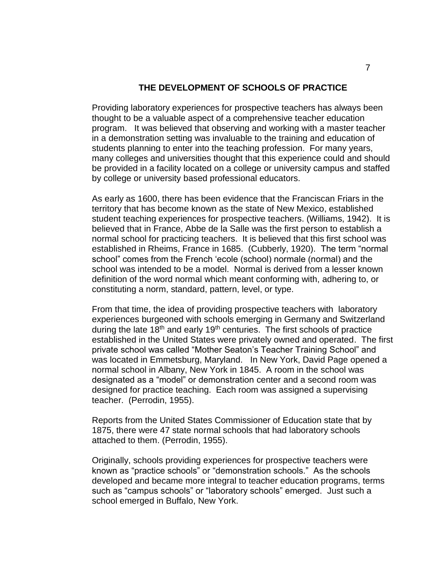#### **THE DEVELOPMENT OF SCHOOLS OF PRACTICE**

Providing laboratory experiences for prospective teachers has always been thought to be a valuable aspect of a comprehensive teacher education program. It was believed that observing and working with a master teacher in a demonstration setting was invaluable to the training and education of students planning to enter into the teaching profession. For many years, many colleges and universities thought that this experience could and should be provided in a facility located on a college or university campus and staffed by college or university based professional educators.

As early as 1600, there has been evidence that the Franciscan Friars in the territory that has become known as the state of New Mexico, established student teaching experiences for prospective teachers. (Williams, 1942). It is believed that in France, Abbe de la Salle was the first person to establish a normal school for practicing teachers. It is believed that this first school was established in Rheims, France in 1685. (Cubberly, 1920). The term "normal school" comes from the French 'ecole (school) normale (normal) and the school was intended to be a model. Normal is derived from a lesser known definition of the word normal which meant conforming with, adhering to, or constituting a norm, standard, pattern, level, or type.

From that time, the idea of providing prospective teachers with laboratory experiences burgeoned with schools emerging in Germany and Switzerland during the late  $18<sup>th</sup>$  and early  $19<sup>th</sup>$  centuries. The first schools of practice established in the United States were privately owned and operated. The first private school was called "Mother Seaton's Teacher Training School" and was located in Emmetsburg, Maryland. In New York, David Page opened a normal school in Albany, New York in 1845. A room in the school was designated as a "model" or demonstration center and a second room was designed for practice teaching. Each room was assigned a supervising teacher. (Perrodin, 1955).

Reports from the United States Commissioner of Education state that by 1875, there were 47 state normal schools that had laboratory schools attached to them. (Perrodin, 1955).

Originally, schools providing experiences for prospective teachers were known as "practice schools" or "demonstration schools." As the schools developed and became more integral to teacher education programs, terms such as "campus schools" or "laboratory schools" emerged. Just such a school emerged in Buffalo, New York.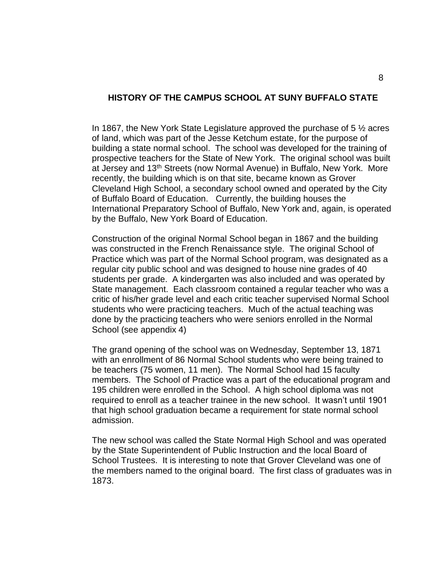#### **HISTORY OF THE CAMPUS SCHOOL AT SUNY BUFFALO STATE**

In 1867, the New York State Legislature approved the purchase of  $5\frac{1}{2}$  acres of land, which was part of the Jesse Ketchum estate, for the purpose of building a state normal school. The school was developed for the training of prospective teachers for the State of New York. The original school was built at Jersey and 13th Streets (now Normal Avenue) in Buffalo, New York. More recently, the building which is on that site, became known as Grover Cleveland High School, a secondary school owned and operated by the City of Buffalo Board of Education. Currently, the building houses the International Preparatory School of Buffalo, New York and, again, is operated by the Buffalo, New York Board of Education.

Construction of the original Normal School began in 1867 and the building was constructed in the French Renaissance style. The original School of Practice which was part of the Normal School program, was designated as a regular city public school and was designed to house nine grades of 40 students per grade. A kindergarten was also included and was operated by State management. Each classroom contained a regular teacher who was a critic of his/her grade level and each critic teacher supervised Normal School students who were practicing teachers. Much of the actual teaching was done by the practicing teachers who were seniors enrolled in the Normal School (see appendix 4)

The grand opening of the school was on Wednesday, September 13, 1871 with an enrollment of 86 Normal School students who were being trained to be teachers (75 women, 11 men). The Normal School had 15 faculty members. The School of Practice was a part of the educational program and 195 children were enrolled in the School. A high school diploma was not required to enroll as a teacher trainee in the new school. It wasn't until 1901 that high school graduation became a requirement for state normal school admission.

The new school was called the State Normal High School and was operated by the State Superintendent of Public Instruction and the local Board of School Trustees. It is interesting to note that Grover Cleveland was one of the members named to the original board. The first class of graduates was in 1873.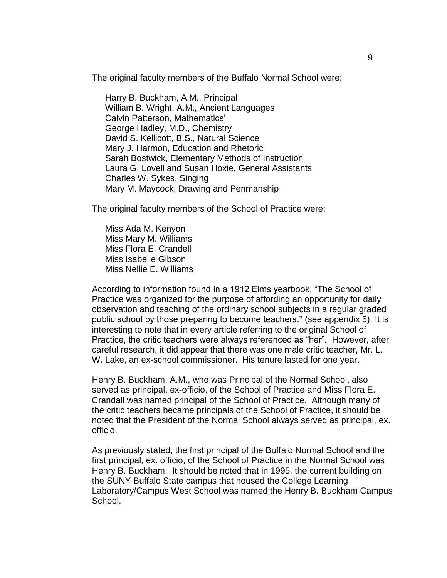The original faculty members of the Buffalo Normal School were:

Harry B. Buckham, A.M., Principal William B. Wright, A.M., Ancient Languages Calvin Patterson, Mathematics' George Hadley, M.D., Chemistry David S. Kellicott, B.S., Natural Science Mary J. Harmon, Education and Rhetoric Sarah Bostwick, Elementary Methods of Instruction Laura G. Lovell and Susan Hoxie, General Assistants Charles W. Sykes, Singing Mary M. Maycock, Drawing and Penmanship

The original faculty members of the School of Practice were:

Miss Ada M. Kenyon Miss Mary M. Williams Miss Flora E. Crandell Miss Isabelle Gibson Miss Nellie E. Williams

According to information found in a 1912 Elms yearbook, "The School of Practice was organized for the purpose of affording an opportunity for daily observation and teaching of the ordinary school subjects in a regular graded public school by those preparing to become teachers." (see appendix 5). It is interesting to note that in every article referring to the original School of Practice, the critic teachers were always referenced as "her". However, after careful research, it did appear that there was one male critic teacher, Mr. L. W. Lake, an ex-school commissioner. His tenure lasted for one year.

Henry B. Buckham, A.M., who was Principal of the Normal School, also served as principal, ex-officio, of the School of Practice and Miss Flora E. Crandall was named principal of the School of Practice. Although many of the critic teachers became principals of the School of Practice, it should be noted that the President of the Normal School always served as principal, ex. officio.

As previously stated, the first principal of the Buffalo Normal School and the first principal, ex. officio, of the School of Practice in the Normal School was Henry B. Buckham. It should be noted that in 1995, the current building on the SUNY Buffalo State campus that housed the College Learning Laboratory/Campus West School was named the Henry B. Buckham Campus School.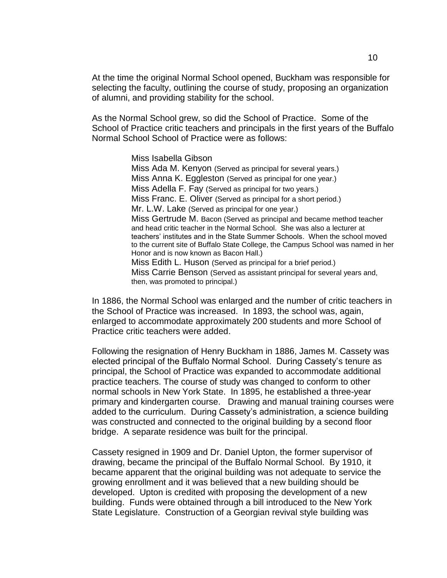At the time the original Normal School opened, Buckham was responsible for selecting the faculty, outlining the course of study, proposing an organization of alumni, and providing stability for the school.

As the Normal School grew, so did the School of Practice. Some of the School of Practice critic teachers and principals in the first years of the Buffalo Normal School School of Practice were as follows:

> Miss Isabella Gibson Miss Ada M. Kenyon (Served as principal for several years.) Miss Anna K. Eggleston (Served as principal for one year.) Miss Adella F. Fay (Served as principal for two years.) Miss Franc. E. Oliver (Served as principal for a short period.) Mr. L.W. Lake (Served as principal for one year.) Miss Gertrude M. Bacon (Served as principal and became method teacher and head critic teacher in the Normal School. She was also a lecturer at teachers' institutes and in the State Summer Schools. When the school moved to the current site of Buffalo State College, the Campus School was named in her Honor and is now known as Bacon Hall.) Miss Edith L. Huson (Served as principal for a brief period.) Miss Carrie Benson (Served as assistant principal for several years and, then, was promoted to principal.)

In 1886, the Normal School was enlarged and the number of critic teachers in the School of Practice was increased. In 1893, the school was, again, enlarged to accommodate approximately 200 students and more School of Practice critic teachers were added.

Following the resignation of Henry Buckham in 1886, James M. Cassety was elected principal of the Buffalo Normal School. During Cassety's tenure as principal, the School of Practice was expanded to accommodate additional practice teachers. The course of study was changed to conform to other normal schools in New York State. In 1895, he established a three-year primary and kindergarten course. Drawing and manual training courses were added to the curriculum. During Cassety's administration, a science building was constructed and connected to the original building by a second floor bridge. A separate residence was built for the principal.

Cassety resigned in 1909 and Dr. Daniel Upton, the former supervisor of drawing, became the principal of the Buffalo Normal School. By 1910, it became apparent that the original building was not adequate to service the growing enrollment and it was believed that a new building should be developed. Upton is credited with proposing the development of a new building. Funds were obtained through a bill introduced to the New York State Legislature. Construction of a Georgian revival style building was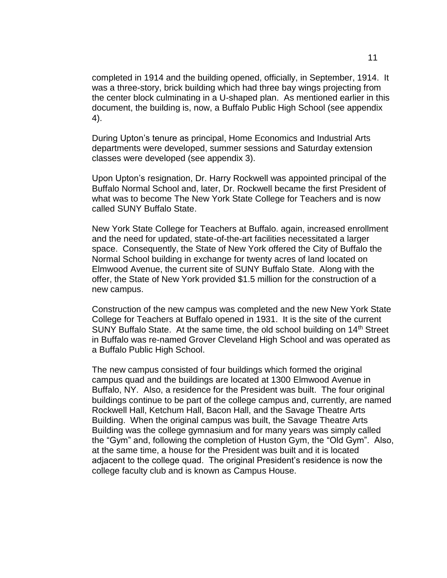completed in 1914 and the building opened, officially, in September, 1914. It was a three-story, brick building which had three bay wings projecting from the center block culminating in a U-shaped plan. As mentioned earlier in this document, the building is, now, a Buffalo Public High School (see appendix 4).

During Upton's tenure as principal, Home Economics and Industrial Arts departments were developed, summer sessions and Saturday extension classes were developed (see appendix 3).

Upon Upton's resignation, Dr. Harry Rockwell was appointed principal of the Buffalo Normal School and, later, Dr. Rockwell became the first President of what was to become The New York State College for Teachers and is now called SUNY Buffalo State.

New York State College for Teachers at Buffalo. again, increased enrollment and the need for updated, state-of-the-art facilities necessitated a larger space. Consequently, the State of New York offered the City of Buffalo the Normal School building in exchange for twenty acres of land located on Elmwood Avenue, the current site of SUNY Buffalo State. Along with the offer, the State of New York provided \$1.5 million for the construction of a new campus.

Construction of the new campus was completed and the new New York State College for Teachers at Buffalo opened in 1931. It is the site of the current SUNY Buffalo State. At the same time, the old school building on 14<sup>th</sup> Street in Buffalo was re-named Grover Cleveland High School and was operated as a Buffalo Public High School.

The new campus consisted of four buildings which formed the original campus quad and the buildings are located at 1300 Elmwood Avenue in Buffalo, NY. Also, a residence for the President was built. The four original buildings continue to be part of the college campus and, currently, are named Rockwell Hall, Ketchum Hall, Bacon Hall, and the Savage Theatre Arts Building. When the original campus was built, the Savage Theatre Arts Building was the college gymnasium and for many years was simply called the "Gym" and, following the completion of Huston Gym, the "Old Gym". Also, at the same time, a house for the President was built and it is located adjacent to the college quad. The original President's residence is now the college faculty club and is known as Campus House.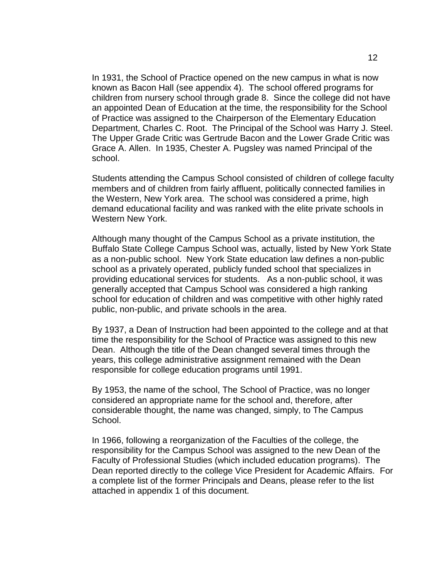In 1931, the School of Practice opened on the new campus in what is now known as Bacon Hall (see appendix 4). The school offered programs for children from nursery school through grade 8. Since the college did not have an appointed Dean of Education at the time, the responsibility for the School of Practice was assigned to the Chairperson of the Elementary Education Department, Charles C. Root. The Principal of the School was Harry J. Steel. The Upper Grade Critic was Gertrude Bacon and the Lower Grade Critic was Grace A. Allen. In 1935, Chester A. Pugsley was named Principal of the school.

Students attending the Campus School consisted of children of college faculty members and of children from fairly affluent, politically connected families in the Western, New York area. The school was considered a prime, high demand educational facility and was ranked with the elite private schools in Western New York.

Although many thought of the Campus School as a private institution, the Buffalo State College Campus School was, actually, listed by New York State as a non-public school. New York State education law defines a non-public school as a privately operated, publicly funded school that specializes in providing educational services for students. As a non-public school, it was generally accepted that Campus School was considered a high ranking school for education of children and was competitive with other highly rated public, non-public, and private schools in the area.

By 1937, a Dean of Instruction had been appointed to the college and at that time the responsibility for the School of Practice was assigned to this new Dean. Although the title of the Dean changed several times through the years, this college administrative assignment remained with the Dean responsible for college education programs until 1991.

By 1953, the name of the school, The School of Practice, was no longer considered an appropriate name for the school and, therefore, after considerable thought, the name was changed, simply, to The Campus School.

In 1966, following a reorganization of the Faculties of the college, the responsibility for the Campus School was assigned to the new Dean of the Faculty of Professional Studies (which included education programs). The Dean reported directly to the college Vice President for Academic Affairs. For a complete list of the former Principals and Deans, please refer to the list attached in appendix 1 of this document.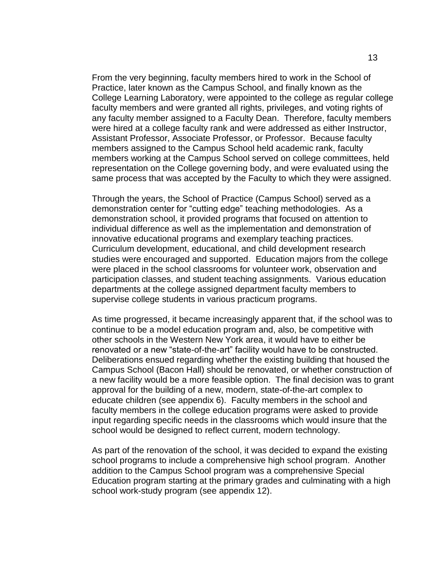From the very beginning, faculty members hired to work in the School of Practice, later known as the Campus School, and finally known as the College Learning Laboratory, were appointed to the college as regular college faculty members and were granted all rights, privileges, and voting rights of any faculty member assigned to a Faculty Dean. Therefore, faculty members were hired at a college faculty rank and were addressed as either Instructor, Assistant Professor, Associate Professor, or Professor. Because faculty members assigned to the Campus School held academic rank, faculty members working at the Campus School served on college committees, held representation on the College governing body, and were evaluated using the same process that was accepted by the Faculty to which they were assigned.

Through the years, the School of Practice (Campus School) served as a demonstration center for "cutting edge" teaching methodologies. As a demonstration school, it provided programs that focused on attention to individual difference as well as the implementation and demonstration of innovative educational programs and exemplary teaching practices. Curriculum development, educational, and child development research studies were encouraged and supported. Education majors from the college were placed in the school classrooms for volunteer work, observation and participation classes, and student teaching assignments. Various education departments at the college assigned department faculty members to supervise college students in various practicum programs.

As time progressed, it became increasingly apparent that, if the school was to continue to be a model education program and, also, be competitive with other schools in the Western New York area, it would have to either be renovated or a new "state-of-the-art" facility would have to be constructed. Deliberations ensued regarding whether the existing building that housed the Campus School (Bacon Hall) should be renovated, or whether construction of a new facility would be a more feasible option. The final decision was to grant approval for the building of a new, modern, state-of-the-art complex to educate children (see appendix 6). Faculty members in the school and faculty members in the college education programs were asked to provide input regarding specific needs in the classrooms which would insure that the school would be designed to reflect current, modern technology.

As part of the renovation of the school, it was decided to expand the existing school programs to include a comprehensive high school program. Another addition to the Campus School program was a comprehensive Special Education program starting at the primary grades and culminating with a high school work-study program (see appendix 12).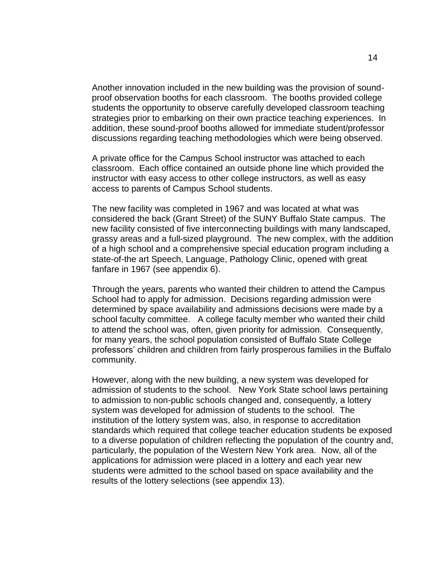Another innovation included in the new building was the provision of soundproof observation booths for each classroom. The booths provided college students the opportunity to observe carefully developed classroom teaching strategies prior to embarking on their own practice teaching experiences. In addition, these sound-proof booths allowed for immediate student/professor discussions regarding teaching methodologies which were being observed.

A private office for the Campus School instructor was attached to each classroom. Each office contained an outside phone line which provided the instructor with easy access to other college instructors, as well as easy access to parents of Campus School students.

The new facility was completed in 1967 and was located at what was considered the back (Grant Street) of the SUNY Buffalo State campus. The new facility consisted of five interconnecting buildings with many landscaped, grassy areas and a full-sized playground. The new complex, with the addition of a high school and a comprehensive special education program including a state-of-the art Speech, Language, Pathology Clinic, opened with great fanfare in 1967 (see appendix 6).

Through the years, parents who wanted their children to attend the Campus School had to apply for admission. Decisions regarding admission were determined by space availability and admissions decisions were made by a school faculty committee. A college faculty member who wanted their child to attend the school was, often, given priority for admission. Consequently, for many years, the school population consisted of Buffalo State College professors' children and children from fairly prosperous families in the Buffalo community.

However, along with the new building, a new system was developed for admission of students to the school. New York State school laws pertaining to admission to non-public schools changed and, consequently, a lottery system was developed for admission of students to the school. The institution of the lottery system was, also, in response to accreditation standards which required that college teacher education students be exposed to a diverse population of children reflecting the population of the country and, particularly, the population of the Western New York area. Now, all of the applications for admission were placed in a lottery and each year new students were admitted to the school based on space availability and the results of the lottery selections (see appendix 13).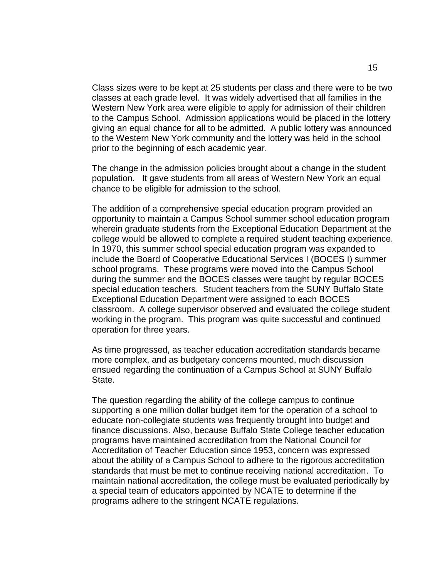Class sizes were to be kept at 25 students per class and there were to be two classes at each grade level. It was widely advertised that all families in the Western New York area were eligible to apply for admission of their children to the Campus School. Admission applications would be placed in the lottery giving an equal chance for all to be admitted. A public lottery was announced to the Western New York community and the lottery was held in the school prior to the beginning of each academic year.

The change in the admission policies brought about a change in the student population. It gave students from all areas of Western New York an equal chance to be eligible for admission to the school.

The addition of a comprehensive special education program provided an opportunity to maintain a Campus School summer school education program wherein graduate students from the Exceptional Education Department at the college would be allowed to complete a required student teaching experience. In 1970, this summer school special education program was expanded to include the Board of Cooperative Educational Services I (BOCES I) summer school programs. These programs were moved into the Campus School during the summer and the BOCES classes were taught by regular BOCES special education teachers. Student teachers from the SUNY Buffalo State Exceptional Education Department were assigned to each BOCES classroom. A college supervisor observed and evaluated the college student working in the program. This program was quite successful and continued operation for three years.

As time progressed, as teacher education accreditation standards became more complex, and as budgetary concerns mounted, much discussion ensued regarding the continuation of a Campus School at SUNY Buffalo State.

The question regarding the ability of the college campus to continue supporting a one million dollar budget item for the operation of a school to educate non-collegiate students was frequently brought into budget and finance discussions. Also, because Buffalo State College teacher education programs have maintained accreditation from the National Council for Accreditation of Teacher Education since 1953, concern was expressed about the ability of a Campus School to adhere to the rigorous accreditation standards that must be met to continue receiving national accreditation. To maintain national accreditation, the college must be evaluated periodically by a special team of educators appointed by NCATE to determine if the programs adhere to the stringent NCATE regulations.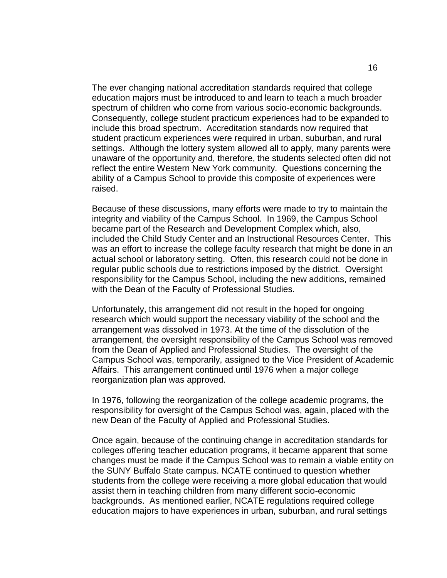The ever changing national accreditation standards required that college education majors must be introduced to and learn to teach a much broader spectrum of children who come from various socio-economic backgrounds. Consequently, college student practicum experiences had to be expanded to include this broad spectrum. Accreditation standards now required that student practicum experiences were required in urban, suburban, and rural settings. Although the lottery system allowed all to apply, many parents were unaware of the opportunity and, therefore, the students selected often did not reflect the entire Western New York community. Questions concerning the ability of a Campus School to provide this composite of experiences were raised.

Because of these discussions, many efforts were made to try to maintain the integrity and viability of the Campus School. In 1969, the Campus School became part of the Research and Development Complex which, also, included the Child Study Center and an Instructional Resources Center. This was an effort to increase the college faculty research that might be done in an actual school or laboratory setting. Often, this research could not be done in regular public schools due to restrictions imposed by the district. Oversight responsibility for the Campus School, including the new additions, remained with the Dean of the Faculty of Professional Studies.

Unfortunately, this arrangement did not result in the hoped for ongoing research which would support the necessary viability of the school and the arrangement was dissolved in 1973. At the time of the dissolution of the arrangement, the oversight responsibility of the Campus School was removed from the Dean of Applied and Professional Studies. The oversight of the Campus School was, temporarily, assigned to the Vice President of Academic Affairs. This arrangement continued until 1976 when a major college reorganization plan was approved.

In 1976, following the reorganization of the college academic programs, the responsibility for oversight of the Campus School was, again, placed with the new Dean of the Faculty of Applied and Professional Studies.

Once again, because of the continuing change in accreditation standards for colleges offering teacher education programs, it became apparent that some changes must be made if the Campus School was to remain a viable entity on the SUNY Buffalo State campus. NCATE continued to question whether students from the college were receiving a more global education that would assist them in teaching children from many different socio-economic backgrounds. As mentioned earlier, NCATE regulations required college education majors to have experiences in urban, suburban, and rural settings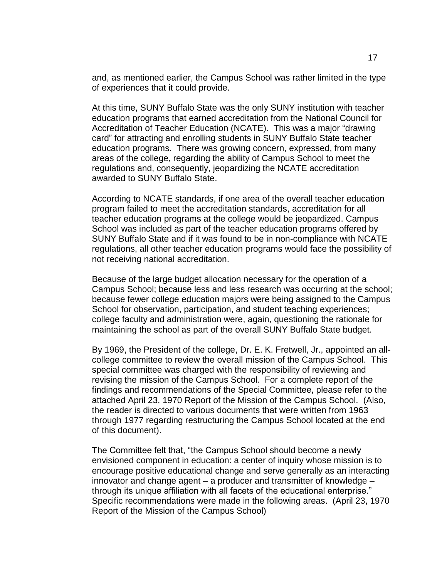and, as mentioned earlier, the Campus School was rather limited in the type of experiences that it could provide.

At this time, SUNY Buffalo State was the only SUNY institution with teacher education programs that earned accreditation from the National Council for Accreditation of Teacher Education (NCATE). This was a major "drawing card" for attracting and enrolling students in SUNY Buffalo State teacher education programs. There was growing concern, expressed, from many areas of the college, regarding the ability of Campus School to meet the regulations and, consequently, jeopardizing the NCATE accreditation awarded to SUNY Buffalo State.

According to NCATE standards, if one area of the overall teacher education program failed to meet the accreditation standards, accreditation for all teacher education programs at the college would be jeopardized. Campus School was included as part of the teacher education programs offered by SUNY Buffalo State and if it was found to be in non-compliance with NCATE regulations, all other teacher education programs would face the possibility of not receiving national accreditation.

Because of the large budget allocation necessary for the operation of a Campus School; because less and less research was occurring at the school; because fewer college education majors were being assigned to the Campus School for observation, participation, and student teaching experiences; college faculty and administration were, again, questioning the rationale for maintaining the school as part of the overall SUNY Buffalo State budget.

By 1969, the President of the college, Dr. E. K. Fretwell, Jr., appointed an allcollege committee to review the overall mission of the Campus School. This special committee was charged with the responsibility of reviewing and revising the mission of the Campus School. For a complete report of the findings and recommendations of the Special Committee, please refer to the attached April 23, 1970 Report of the Mission of the Campus School. (Also, the reader is directed to various documents that were written from 1963 through 1977 regarding restructuring the Campus School located at the end of this document).

The Committee felt that, "the Campus School should become a newly envisioned component in education: a center of inquiry whose mission is to encourage positive educational change and serve generally as an interacting innovator and change agent – a producer and transmitter of knowledge – through its unique affiliation with all facets of the educational enterprise." Specific recommendations were made in the following areas. (April 23, 1970 Report of the Mission of the Campus School)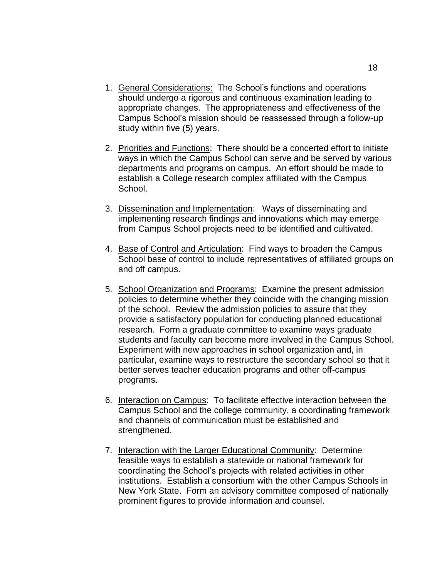- 1. General Considerations: The School's functions and operations should undergo a rigorous and continuous examination leading to appropriate changes. The appropriateness and effectiveness of the Campus School's mission should be reassessed through a follow-up study within five (5) years.
- 2. Priorities and Functions: There should be a concerted effort to initiate ways in which the Campus School can serve and be served by various departments and programs on campus. An effort should be made to establish a College research complex affiliated with the Campus School.
- 3. Dissemination and Implementation: Ways of disseminating and implementing research findings and innovations which may emerge from Campus School projects need to be identified and cultivated.
- 4. Base of Control and Articulation: Find ways to broaden the Campus School base of control to include representatives of affiliated groups on and off campus.
- 5. School Organization and Programs: Examine the present admission policies to determine whether they coincide with the changing mission of the school. Review the admission policies to assure that they provide a satisfactory population for conducting planned educational research. Form a graduate committee to examine ways graduate students and faculty can become more involved in the Campus School. Experiment with new approaches in school organization and, in particular, examine ways to restructure the secondary school so that it better serves teacher education programs and other off-campus programs.
- 6. Interaction on Campus: To facilitate effective interaction between the Campus School and the college community, a coordinating framework and channels of communication must be established and strengthened.
- 7. Interaction with the Larger Educational Community: Determine feasible ways to establish a statewide or national framework for coordinating the School's projects with related activities in other institutions. Establish a consortium with the other Campus Schools in New York State. Form an advisory committee composed of nationally prominent figures to provide information and counsel.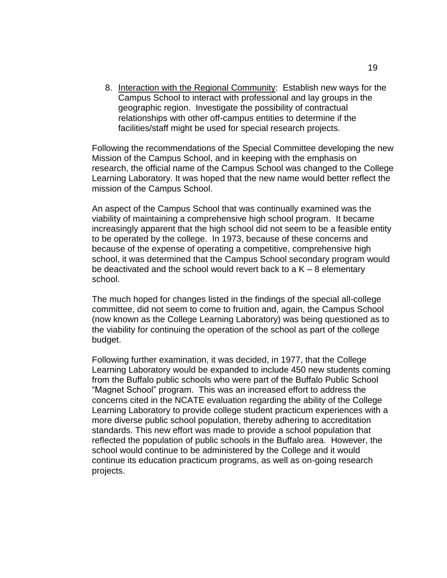8. Interaction with the Regional Community: Establish new ways for the Campus School to interact with professional and lay groups in the geographic region. Investigate the possibility of contractual relationships with other off-campus entities to determine if the facilities/staff might be used for special research projects.

Following the recommendations of the Special Committee developing the new Mission of the Campus School, and in keeping with the emphasis on research, the official name of the Campus School was changed to the College Learning Laboratory. It was hoped that the new name would better reflect the mission of the Campus School.

An aspect of the Campus School that was continually examined was the viability of maintaining a comprehensive high school program. It became increasingly apparent that the high school did not seem to be a feasible entity to be operated by the college. In 1973, because of these concerns and because of the expense of operating a competitive, comprehensive high school, it was determined that the Campus School secondary program would be deactivated and the school would revert back to a  $K - 8$  elementary school.

The much hoped for changes listed in the findings of the special all-college committee, did not seem to come to fruition and, again, the Campus School (now known as the College Learning Laboratory) was being questioned as to the viability for continuing the operation of the school as part of the college budget.

Following further examination, it was decided, in 1977, that the College Learning Laboratory would be expanded to include 450 new students coming from the Buffalo public schools who were part of the Buffalo Public School "Magnet School" program. This was an increased effort to address the concerns cited in the NCATE evaluation regarding the ability of the College Learning Laboratory to provide college student practicum experiences with a more diverse public school population, thereby adhering to accreditation standards. This new effort was made to provide a school population that reflected the population of public schools in the Buffalo area. However, the school would continue to be administered by the College and it would continue its education practicum programs, as well as on-going research projects.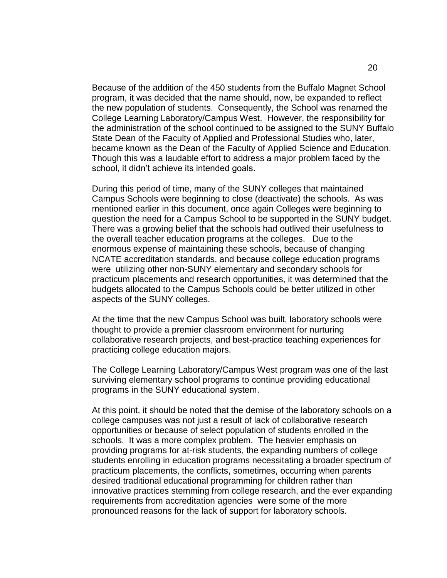Because of the addition of the 450 students from the Buffalo Magnet School program, it was decided that the name should, now, be expanded to reflect the new population of students. Consequently, the School was renamed the College Learning Laboratory/Campus West. However, the responsibility for the administration of the school continued to be assigned to the SUNY Buffalo State Dean of the Faculty of Applied and Professional Studies who, later, became known as the Dean of the Faculty of Applied Science and Education. Though this was a laudable effort to address a major problem faced by the school, it didn't achieve its intended goals.

During this period of time, many of the SUNY colleges that maintained Campus Schools were beginning to close (deactivate) the schools. As was mentioned earlier in this document, once again Colleges were beginning to question the need for a Campus School to be supported in the SUNY budget. There was a growing belief that the schools had outlived their usefulness to the overall teacher education programs at the colleges. Due to the enormous expense of maintaining these schools, because of changing NCATE accreditation standards, and because college education programs were utilizing other non-SUNY elementary and secondary schools for practicum placements and research opportunities, it was determined that the budgets allocated to the Campus Schools could be better utilized in other aspects of the SUNY colleges.

At the time that the new Campus School was built, laboratory schools were thought to provide a premier classroom environment for nurturing collaborative research projects, and best-practice teaching experiences for practicing college education majors.

The College Learning Laboratory/Campus West program was one of the last surviving elementary school programs to continue providing educational programs in the SUNY educational system.

At this point, it should be noted that the demise of the laboratory schools on a college campuses was not just a result of lack of collaborative research opportunities or because of select population of students enrolled in the schools. It was a more complex problem. The heavier emphasis on providing programs for at-risk students, the expanding numbers of college students enrolling in education programs necessitating a broader spectrum of practicum placements, the conflicts, sometimes, occurring when parents desired traditional educational programming for children rather than innovative practices stemming from college research, and the ever expanding requirements from accreditation agencies were some of the more pronounced reasons for the lack of support for laboratory schools.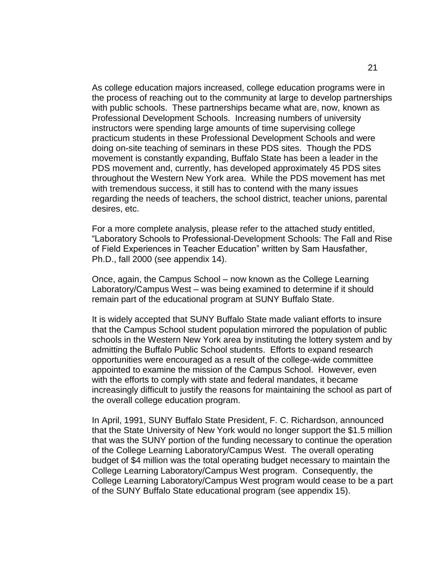As college education majors increased, college education programs were in the process of reaching out to the community at large to develop partnerships with public schools. These partnerships became what are, now, known as Professional Development Schools. Increasing numbers of university instructors were spending large amounts of time supervising college practicum students in these Professional Development Schools and were doing on-site teaching of seminars in these PDS sites. Though the PDS movement is constantly expanding, Buffalo State has been a leader in the PDS movement and, currently, has developed approximately 45 PDS sites throughout the Western New York area. While the PDS movement has met with tremendous success, it still has to contend with the many issues regarding the needs of teachers, the school district, teacher unions, parental desires, etc.

For a more complete analysis, please refer to the attached study entitled, "Laboratory Schools to Professional-Development Schools: The Fall and Rise of Field Experiences in Teacher Education" written by Sam Hausfather, Ph.D., fall 2000 (see appendix 14).

Once, again, the Campus School – now known as the College Learning Laboratory/Campus West – was being examined to determine if it should remain part of the educational program at SUNY Buffalo State.

It is widely accepted that SUNY Buffalo State made valiant efforts to insure that the Campus School student population mirrored the population of public schools in the Western New York area by instituting the lottery system and by admitting the Buffalo Public School students. Efforts to expand research opportunities were encouraged as a result of the college-wide committee appointed to examine the mission of the Campus School. However, even with the efforts to comply with state and federal mandates, it became increasingly difficult to justify the reasons for maintaining the school as part of the overall college education program.

In April, 1991, SUNY Buffalo State President, F. C. Richardson, announced that the State University of New York would no longer support the \$1.5 million that was the SUNY portion of the funding necessary to continue the operation of the College Learning Laboratory/Campus West. The overall operating budget of \$4 million was the total operating budget necessary to maintain the College Learning Laboratory/Campus West program. Consequently, the College Learning Laboratory/Campus West program would cease to be a part of the SUNY Buffalo State educational program (see appendix 15).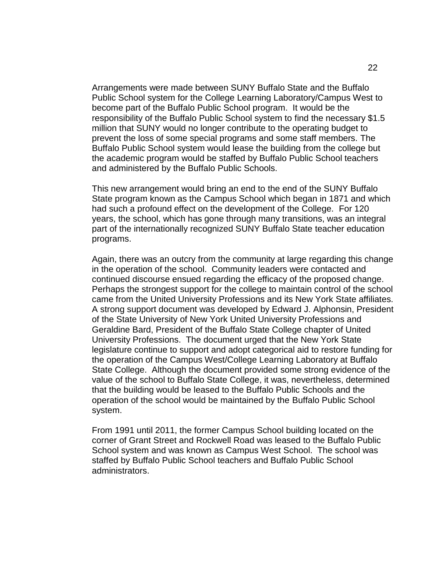Arrangements were made between SUNY Buffalo State and the Buffalo Public School system for the College Learning Laboratory/Campus West to become part of the Buffalo Public School program. It would be the responsibility of the Buffalo Public School system to find the necessary \$1.5 million that SUNY would no longer contribute to the operating budget to prevent the loss of some special programs and some staff members. The Buffalo Public School system would lease the building from the college but the academic program would be staffed by Buffalo Public School teachers and administered by the Buffalo Public Schools.

This new arrangement would bring an end to the end of the SUNY Buffalo State program known as the Campus School which began in 1871 and which had such a profound effect on the development of the College. For 120 years, the school, which has gone through many transitions, was an integral part of the internationally recognized SUNY Buffalo State teacher education programs.

Again, there was an outcry from the community at large regarding this change in the operation of the school. Community leaders were contacted and continued discourse ensued regarding the efficacy of the proposed change. Perhaps the strongest support for the college to maintain control of the school came from the United University Professions and its New York State affiliates. A strong support document was developed by Edward J. Alphonsin, President of the State University of New York United University Professions and Geraldine Bard, President of the Buffalo State College chapter of United University Professions. The document urged that the New York State legislature continue to support and adopt categorical aid to restore funding for the operation of the Campus West/College Learning Laboratory at Buffalo State College. Although the document provided some strong evidence of the value of the school to Buffalo State College, it was, nevertheless, determined that the building would be leased to the Buffalo Public Schools and the operation of the school would be maintained by the Buffalo Public School system.

From 1991 until 2011, the former Campus School building located on the corner of Grant Street and Rockwell Road was leased to the Buffalo Public School system and was known as Campus West School. The school was staffed by Buffalo Public School teachers and Buffalo Public School administrators.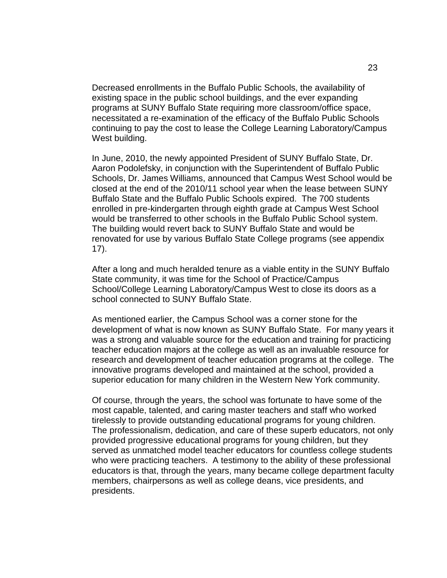Decreased enrollments in the Buffalo Public Schools, the availability of existing space in the public school buildings, and the ever expanding programs at SUNY Buffalo State requiring more classroom/office space, necessitated a re-examination of the efficacy of the Buffalo Public Schools continuing to pay the cost to lease the College Learning Laboratory/Campus West building.

In June, 2010, the newly appointed President of SUNY Buffalo State, Dr. Aaron Podolefsky, in conjunction with the Superintendent of Buffalo Public Schools, Dr. James Williams, announced that Campus West School would be closed at the end of the 2010/11 school year when the lease between SUNY Buffalo State and the Buffalo Public Schools expired. The 700 students enrolled in pre-kindergarten through eighth grade at Campus West School would be transferred to other schools in the Buffalo Public School system. The building would revert back to SUNY Buffalo State and would be renovated for use by various Buffalo State College programs (see appendix 17).

After a long and much heralded tenure as a viable entity in the SUNY Buffalo State community, it was time for the School of Practice/Campus School/College Learning Laboratory/Campus West to close its doors as a school connected to SUNY Buffalo State.

As mentioned earlier, the Campus School was a corner stone for the development of what is now known as SUNY Buffalo State. For many years it was a strong and valuable source for the education and training for practicing teacher education majors at the college as well as an invaluable resource for research and development of teacher education programs at the college. The innovative programs developed and maintained at the school, provided a superior education for many children in the Western New York community.

Of course, through the years, the school was fortunate to have some of the most capable, talented, and caring master teachers and staff who worked tirelessly to provide outstanding educational programs for young children. The professionalism, dedication, and care of these superb educators, not only provided progressive educational programs for young children, but they served as unmatched model teacher educators for countless college students who were practicing teachers. A testimony to the ability of these professional educators is that, through the years, many became college department faculty members, chairpersons as well as college deans, vice presidents, and presidents.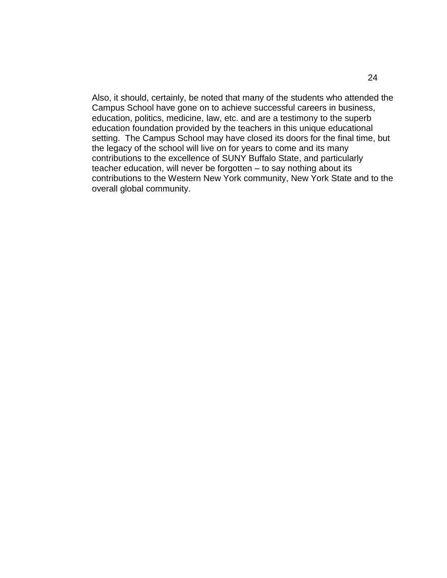Also, it should, certainly, be noted that many of the students who attended the Campus School have gone on to achieve successful careers in business, education, politics, medicine, law, etc. and are a testimony to the superb education foundation provided by the teachers in this unique educational setting. The Campus School may have closed its doors for the final time, but the legacy of the school will live on for years to come and its many contributions to the excellence of SUNY Buffalo State, and particularly teacher education, will never be forgotten – to say nothing about its contributions to the Western New York community, New York State and to the overall global community.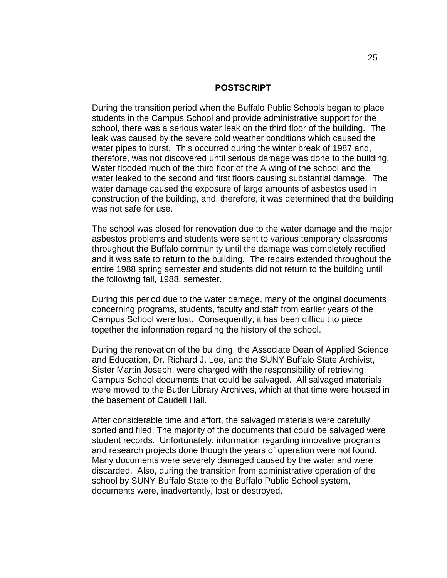#### **POSTSCRIPT**

During the transition period when the Buffalo Public Schools began to place students in the Campus School and provide administrative support for the school, there was a serious water leak on the third floor of the building. The leak was caused by the severe cold weather conditions which caused the water pipes to burst. This occurred during the winter break of 1987 and, therefore, was not discovered until serious damage was done to the building. Water flooded much of the third floor of the A wing of the school and the water leaked to the second and first floors causing substantial damage. The water damage caused the exposure of large amounts of asbestos used in construction of the building, and, therefore, it was determined that the building was not safe for use.

The school was closed for renovation due to the water damage and the major asbestos problems and students were sent to various temporary classrooms throughout the Buffalo community until the damage was completely rectified and it was safe to return to the building. The repairs extended throughout the entire 1988 spring semester and students did not return to the building until the following fall, 1988, semester.

During this period due to the water damage, many of the original documents concerning programs, students, faculty and staff from earlier years of the Campus School were lost. Consequently, it has been difficult to piece together the information regarding the history of the school.

During the renovation of the building, the Associate Dean of Applied Science and Education, Dr. Richard J. Lee, and the SUNY Buffalo State Archivist, Sister Martin Joseph, were charged with the responsibility of retrieving Campus School documents that could be salvaged. All salvaged materials were moved to the Butler Library Archives, which at that time were housed in the basement of Caudell Hall.

After considerable time and effort, the salvaged materials were carefully sorted and filed. The majority of the documents that could be salvaged were student records. Unfortunately, information regarding innovative programs and research projects done though the years of operation were not found. Many documents were severely damaged caused by the water and were discarded. Also, during the transition from administrative operation of the school by SUNY Buffalo State to the Buffalo Public School system, documents were, inadvertently, lost or destroyed.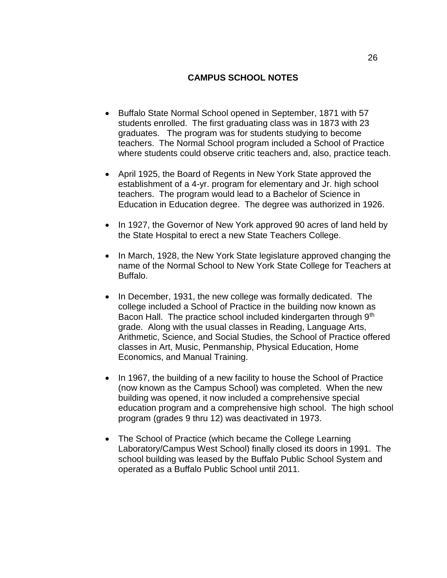## **CAMPUS SCHOOL NOTES**

- Buffalo State Normal School opened in September, 1871 with 57 students enrolled. The first graduating class was in 1873 with 23 graduates. The program was for students studying to become teachers. The Normal School program included a School of Practice where students could observe critic teachers and, also, practice teach.
- April 1925, the Board of Regents in New York State approved the establishment of a 4-yr. program for elementary and Jr. high school teachers. The program would lead to a Bachelor of Science in Education in Education degree. The degree was authorized in 1926.
- In 1927, the Governor of New York approved 90 acres of land held by the State Hospital to erect a new State Teachers College.
- In March, 1928, the New York State legislature approved changing the name of the Normal School to New York State College for Teachers at Buffalo.
- In December, 1931, the new college was formally dedicated. The college included a School of Practice in the building now known as Bacon Hall. The practice school included kindergarten through 9<sup>th</sup> grade. Along with the usual classes in Reading, Language Arts, Arithmetic, Science, and Social Studies, the School of Practice offered classes in Art, Music, Penmanship, Physical Education, Home Economics, and Manual Training.
- In 1967, the building of a new facility to house the School of Practice (now known as the Campus School) was completed. When the new building was opened, it now included a comprehensive special education program and a comprehensive high school. The high school program (grades 9 thru 12) was deactivated in 1973.
- The School of Practice (which became the College Learning Laboratory/Campus West School) finally closed its doors in 1991. The school building was leased by the Buffalo Public School System and operated as a Buffalo Public School until 2011.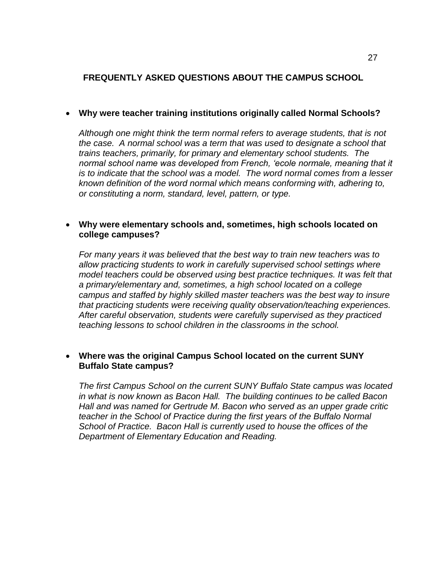# **FREQUENTLY ASKED QUESTIONS ABOUT THE CAMPUS SCHOOL**

## **Why were teacher training institutions originally called Normal Schools?**

*Although one might think the term normal refers to average students, that is not the case. A normal school was a term that was used to designate a school that trains teachers, primarily, for primary and elementary school students. The*  normal school name was developed from French, 'ecole normale, meaning that it *is to indicate that the school was a model. The word normal comes from a lesser known definition of the word normal which means conforming with, adhering to, or constituting a norm, standard, level, pattern, or type.* 

## **Why were elementary schools and, sometimes, high schools located on college campuses?**

*For many years it was believed that the best way to train new teachers was to allow practicing students to work in carefully supervised school settings where model teachers could be observed using best practice techniques. It was felt that a primary/elementary and, sometimes, a high school located on a college campus and staffed by highly skilled master teachers was the best way to insure that practicing students were receiving quality observation/teaching experiences. After careful observation, students were carefully supervised as they practiced teaching lessons to school children in the classrooms in the school.* 

# **Where was the original Campus School located on the current SUNY Buffalo State campus?**

*The first Campus School on the current SUNY Buffalo State campus was located in what is now known as Bacon Hall. The building continues to be called Bacon Hall and was named for Gertrude M. Bacon who served as an upper grade critic teacher in the School of Practice during the first years of the Buffalo Normal School of Practice. Bacon Hall is currently used to house the offices of the Department of Elementary Education and Reading.*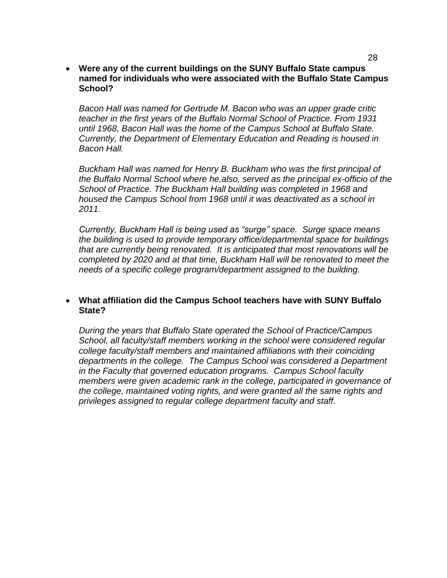#### **Were any of the current buildings on the SUNY Buffalo State campus named for individuals who were associated with the Buffalo State Campus School?**

*Bacon Hall was named for Gertrude M. Bacon who was an upper grade critic teacher in the first years of the Buffalo Normal School of Practice. From 1931 until 1968, Bacon Hall was the home of the Campus School at Buffalo State. Currently, the Department of Elementary Education and Reading is housed in Bacon Hall.* 

*Buckham Hall was named for Henry B. Buckham who was the first principal of the Buffalo Normal School where he,also, served as the principal ex-officio of the School of Practice. The Buckham Hall building was completed in 1968 and housed the Campus School from 1968 until it was deactivated as a school in 2011.* 

*Currently, Buckham Hall is being used as "surge" space. Surge space means the building is used to provide temporary office/departmental space for buildings that are currently being renovated. It is anticipated that most renovations will be completed by 2020 and at that time, Buckham Hall will be renovated to meet the needs of a specific college program/department assigned to the building.* 

#### **What affiliation did the Campus School teachers have with SUNY Buffalo State?**

*During the years that Buffalo State operated the School of Practice/Campus School, all faculty/staff members working in the school were considered regular college faculty/staff members and maintained affiliations with their coinciding departments in the college. The Campus School was considered a Department in the Faculty that governed education programs. Campus School faculty members were given academic rank in the college, participated in governance of the college, maintained voting rights, and were granted all the same rights and privileges assigned to regular college department faculty and staff.*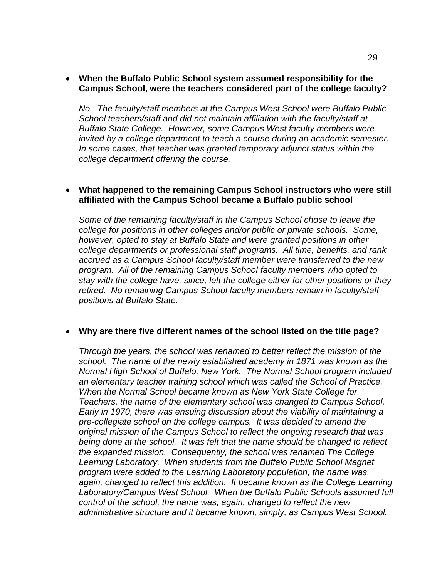#### **When the Buffalo Public School system assumed responsibility for the Campus School, were the teachers considered part of the college faculty?**

*No. The faculty/staff members at the Campus West School were Buffalo Public School teachers/staff and did not maintain affiliation with the faculty/staff at Buffalo State College. However, some Campus West faculty members were invited by a college department to teach a course during an academic semester. In some cases, that teacher was granted temporary adjunct status within the college department offering the course.* 

#### **What happened to the remaining Campus School instructors who were still affiliated with the Campus School became a Buffalo public school**

*Some of the remaining faculty/staff in the Campus School chose to leave the college for positions in other colleges and/or public or private schools. Some, however, opted to stay at Buffalo State and were granted positions in other college departments or professional staff programs. All time, benefits, and rank accrued as a Campus School faculty/staff member were transferred to the new program. All of the remaining Campus School faculty members who opted to stay with the college have, since, left the college either for other positions or they retired. No remaining Campus School faculty members remain in faculty/staff positions at Buffalo State.* 

## **Why are there five different names of the school listed on the title page?**

*Through the years, the school was renamed to better reflect the mission of the school. The name of the newly established academy in 1871 was known as the Normal High School of Buffalo, New York. The Normal School program included an elementary teacher training school which was called the School of Practice. When the Normal School became known as New York State College for Teachers, the name of the elementary school was changed to Campus School. Early in 1970, there was ensuing discussion about the viability of maintaining a pre-collegiate school on the college campus. It was decided to amend the original mission of the Campus School to reflect the ongoing research that was being done at the school. It was felt that the name should be changed to reflect the expanded mission. Consequently, the school was renamed The College Learning Laboratory. When students from the Buffalo Public School Magnet program were added to the Learning Laboratory population, the name was,*  again, changed to reflect this addition. It became known as the College Learning *Laboratory/Campus West School. When the Buffalo Public Schools assumed full control of the school, the name was, again, changed to reflect the new administrative structure and it became known, simply, as Campus West School.*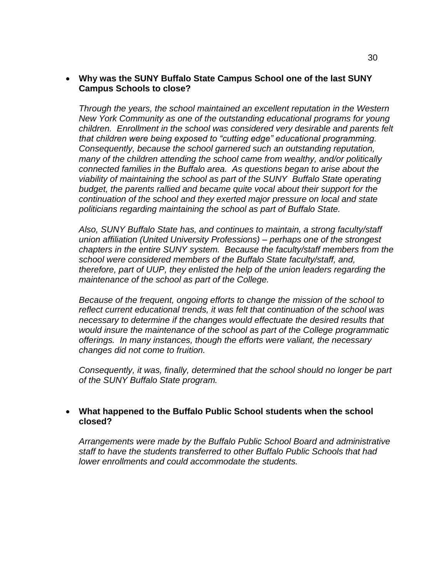#### **Why was the SUNY Buffalo State Campus School one of the last SUNY Campus Schools to close?**

*Through the years, the school maintained an excellent reputation in the Western New York Community as one of the outstanding educational programs for young children. Enrollment in the school was considered very desirable and parents felt that children were being exposed to "cutting edge" educational programming. Consequently, because the school garnered such an outstanding reputation, many of the children attending the school came from wealthy, and/or politically connected families in the Buffalo area. As questions began to arise about the viability of maintaining the school as part of the SUNY Buffalo State operating budget, the parents rallied and became quite vocal about their support for the continuation of the school and they exerted major pressure on local and state politicians regarding maintaining the school as part of Buffalo State.* 

*Also, SUNY Buffalo State has, and continues to maintain, a strong faculty/staff union affiliation (United University Professions) – perhaps one of the strongest chapters in the entire SUNY system. Because the faculty/staff members from the school were considered members of the Buffalo State faculty/staff, and, therefore, part of UUP, they enlisted the help of the union leaders regarding the maintenance of the school as part of the College.* 

*Because of the frequent, ongoing efforts to change the mission of the school to reflect current educational trends, it was felt that continuation of the school was necessary to determine if the changes would effectuate the desired results that would insure the maintenance of the school as part of the College programmatic offerings. In many instances, though the efforts were valiant, the necessary changes did not come to fruition.* 

*Consequently, it was, finally, determined that the school should no longer be part of the SUNY Buffalo State program.* 

#### **What happened to the Buffalo Public School students when the school closed?**

*Arrangements were made by the Buffalo Public School Board and administrative staff to have the students transferred to other Buffalo Public Schools that had lower enrollments and could accommodate the students.*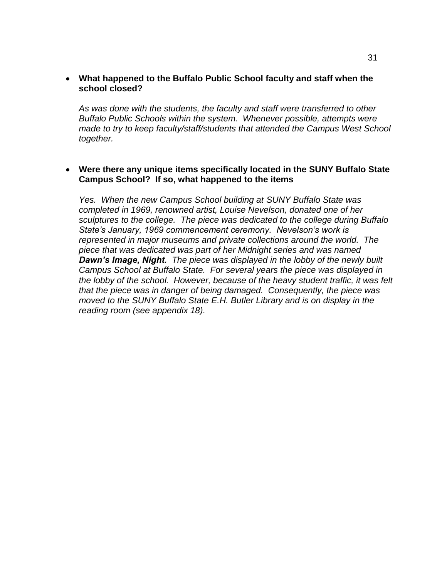#### **What happened to the Buffalo Public School faculty and staff when the school closed?**

*As was done with the students, the faculty and staff were transferred to other Buffalo Public Schools within the system. Whenever possible, attempts were made to try to keep faculty/staff/students that attended the Campus West School together.* 

#### **Were there any unique items specifically located in the SUNY Buffalo State Campus School? If so, what happened to the items**

*Yes. When the new Campus School building at SUNY Buffalo State was completed in 1969, renowned artist, Louise Nevelson, donated one of her sculptures to the college. The piece was dedicated to the college during Buffalo State's January, 1969 commencement ceremony. Nevelson's work is represented in major museums and private collections around the world. The piece that was dedicated was part of her Midnight series and was named Dawn's Image, Night. The piece was displayed in the lobby of the newly built Campus School at Buffalo State. For several years the piece was displayed in the lobby of the school. However, because of the heavy student traffic, it was felt that the piece was in danger of being damaged. Consequently, the piece was moved to the SUNY Buffalo State E.H. Butler Library and is on display in the reading room (see appendix 18).*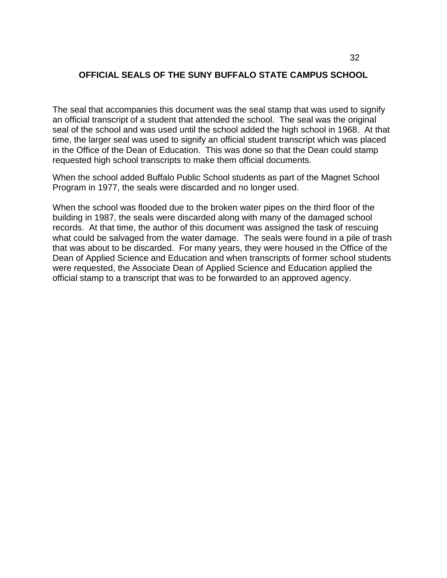# **OFFICIAL SEALS OF THE SUNY BUFFALO STATE CAMPUS SCHOOL**

The seal that accompanies this document was the seal stamp that was used to signify an official transcript of a student that attended the school. The seal was the original seal of the school and was used until the school added the high school in 1968. At that time, the larger seal was used to signify an official student transcript which was placed in the Office of the Dean of Education. This was done so that the Dean could stamp requested high school transcripts to make them official documents.

When the school added Buffalo Public School students as part of the Magnet School Program in 1977, the seals were discarded and no longer used.

When the school was flooded due to the broken water pipes on the third floor of the building in 1987, the seals were discarded along with many of the damaged school records. At that time, the author of this document was assigned the task of rescuing what could be salvaged from the water damage. The seals were found in a pile of trash that was about to be discarded. For many years, they were housed in the Office of the Dean of Applied Science and Education and when transcripts of former school students were requested, the Associate Dean of Applied Science and Education applied the official stamp to a transcript that was to be forwarded to an approved agency.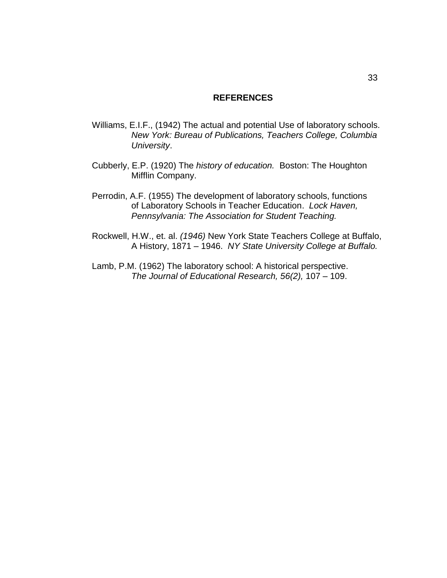#### **REFERENCES**

- Williams, E.I.F., (1942) The actual and potential Use of laboratory schools. *New York: Bureau of Publications, Teachers College, Columbia University*.
- Cubberly, E.P. (1920) The *history of education.* Boston: The Houghton Mifflin Company.
- Perrodin, A.F. (1955) The development of laboratory schools, functions of Laboratory Schools in Teacher Education. *Lock Haven, Pennsylvania: The Association for Student Teaching.*
- Rockwell, H.W., et. al. *(1946)* New York State Teachers College at Buffalo, A History, 1871 – 1946. *NY State University College at Buffalo.*
- Lamb, P.M. (1962) The laboratory school: A historical perspective. *The Journal of Educational Research, 56(2),* 107 – 109.